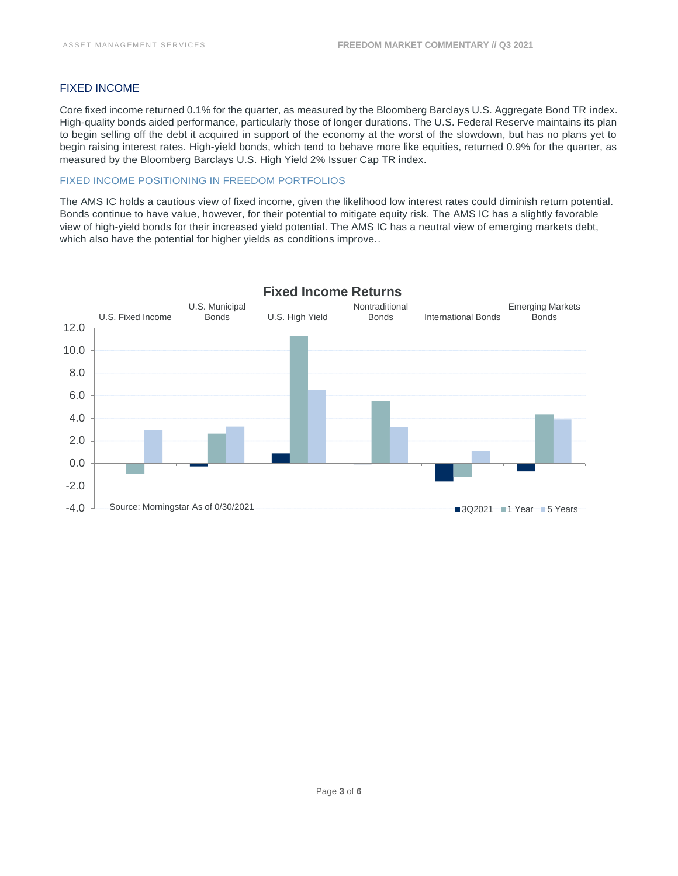#### FIXED INCOME

Core fixed income returned 0.1% for the quarter, as measured by the Bloomberg Barclays U.S. Aggregate Bond TR index. High-quality bonds aided performance, particularly those of longer durations. The U.S. Federal Reserve maintains its plan to begin selling off the debt it acquired in support of the economy at the worst of the slowdown, but has no plans yet to begin raising interest rates. High-yield bonds, which tend to behave more like equities, returned 0.9% for the quarter, as measured by the Bloomberg Barclays U.S. High Yield 2% Issuer Cap TR index.

## FIXED INCOME POSITIONING IN FREEDOM PORTFOLIOS

The AMS IC holds a cautious view of fixed income, given the likelihood low interest rates could diminish return potential. Bonds continue to have value, however, for their potential to mitigate equity risk. The AMS IC has a slightly favorable view of high-yield bonds for their increased yield potential. The AMS IC has a neutral view of emerging markets debt, which also have the potential for higher yields as conditions improve..



# Page **3** of **6**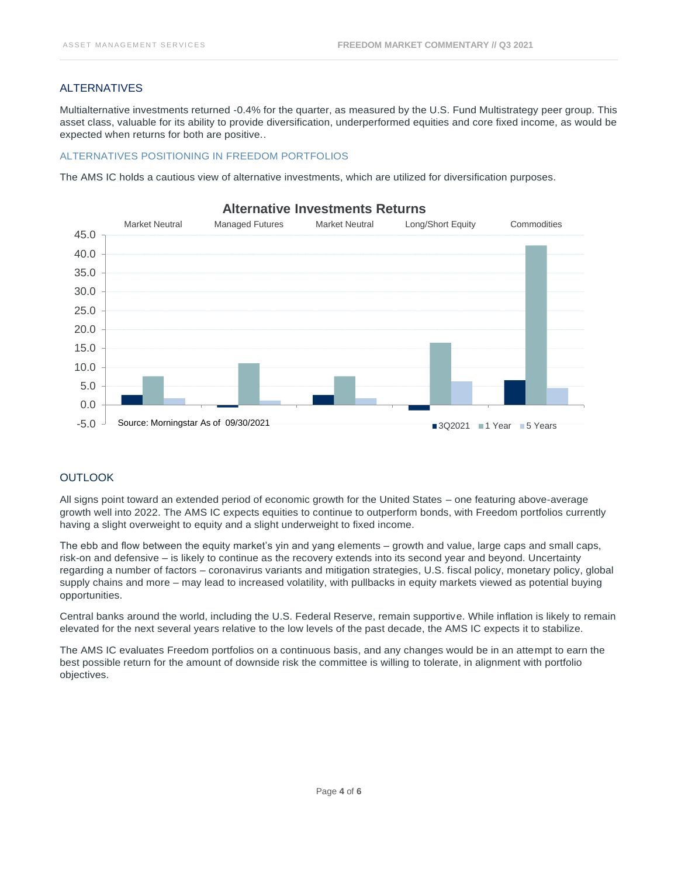## ALTERNATIVES

Multialternative investments returned -0.4% for the quarter, as measured by the U.S. Fund Multistrategy peer group. This asset class, valuable for its ability to provide diversification, underperformed equities and core fixed income, as would be expected when returns for both are positive..

#### ALTERNATIVES POSITIONING IN FREEDOM PORTFOLIOS

The AMS IC holds a cautious view of alternative investments, which are utilized for diversification purposes.



## **Alternative Investments Returns**

### **OUTLOOK**

All signs point toward an extended period of economic growth for the United States – one featuring above-average growth well into 2022. The AMS IC expects equities to continue to outperform bonds, with Freedom portfolios currently having a slight overweight to equity and a slight underweight to fixed income.

The ebb and flow between the equity market's yin and yang elements – growth and value, large caps and small caps, risk-on and defensive – is likely to continue as the recovery extends into its second year and beyond. Uncertainty regarding a number of factors – coronavirus variants and mitigation strategies, U.S. fiscal policy, monetary policy, global supply chains and more – may lead to increased volatility, with pullbacks in equity markets viewed as potential buying opportunities.

Central banks around the world, including the U.S. Federal Reserve, remain supportive. While inflation is likely to remain elevated for the next several years relative to the low levels of the past decade, the AMS IC expects it to stabilize.

The AMS IC evaluates Freedom portfolios on a continuous basis, and any changes would be in an attempt to earn the best possible return for the amount of downside risk the committee is willing to tolerate, in alignment with portfolio objectives.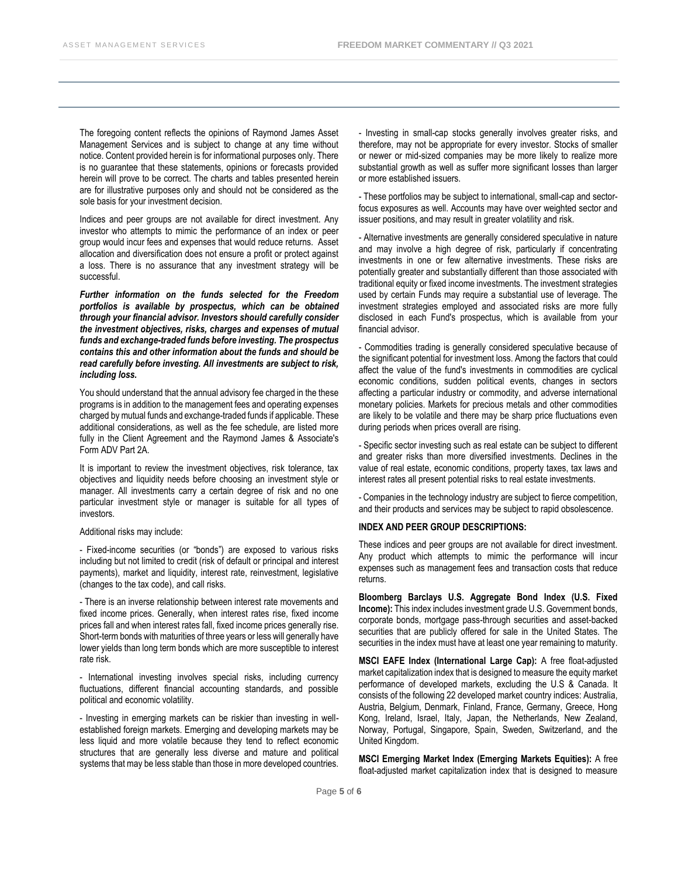The foregoing content reflects the opinions of Raymond James Asset Management Services and is subject to change at any time without notice. Content provided herein is for informational purposes only. There is no guarantee that these statements, opinions or forecasts provided herein will prove to be correct. The charts and tables presented herein are for illustrative purposes only and should not be considered as the sole basis for your investment decision.

Indices and peer groups are not available for direct investment. Any investor who attempts to mimic the performance of an index or peer group would incur fees and expenses that would reduce returns. Asset allocation and diversification does not ensure a profit or protect against a loss. There is no assurance that any investment strategy will be successful.

*Further information on the funds selected for the Freedom portfolios is available by prospectus, which can be obtained through your financial advisor. Investors should carefully consider the investment objectives, risks, charges and expenses of mutual funds and exchange-traded funds before investing. The prospectus contains this and other information about the funds and should be read carefully before investing. All investments are subject to risk, including loss.*

You should understand that the annual advisory fee charged in the these programs is in addition to the management fees and operating expenses charged by mutual funds and exchange-traded funds if applicable. These additional considerations, as well as the fee schedule, are listed more fully in the Client Agreement and the Raymond James & Associate's Form ADV Part 2A.

It is important to review the investment objectives, risk tolerance, tax objectives and liquidity needs before choosing an investment style or manager. All investments carry a certain degree of risk and no one particular investment style or manager is suitable for all types of investors.

#### Additional risks may include:

- Fixed-income securities (or "bonds") are exposed to various risks including but not limited to credit (risk of default or principal and interest payments), market and liquidity, interest rate, reinvestment, legislative (changes to the tax code), and call risks.

- There is an inverse relationship between interest rate movements and fixed income prices. Generally, when interest rates rise, fixed income prices fall and when interest rates fall, fixed income prices generally rise. Short-term bonds with maturities of three years or less will generally have lower yields than long term bonds which are more susceptible to interest rate risk.

- International investing involves special risks, including currency fluctuations, different financial accounting standards, and possible political and economic volatility.

- Investing in emerging markets can be riskier than investing in wellestablished foreign markets. Emerging and developing markets may be less liquid and more volatile because they tend to reflect economic structures that are generally less diverse and mature and political systems that may be less stable than those in more developed countries.

- Investing in small-cap stocks generally involves greater risks, and therefore, may not be appropriate for every investor. Stocks of smaller or newer or mid-sized companies may be more likely to realize more substantial growth as well as suffer more significant losses than larger or more established issuers.

- These portfolios may be subject to international, small-cap and sectorfocus exposures as well. Accounts may have over weighted sector and issuer positions, and may result in greater volatility and risk.

- Alternative investments are generally considered speculative in nature and may involve a high degree of risk, particularly if concentrating investments in one or few alternative investments. These risks are potentially greater and substantially different than those associated with traditional equity or fixed income investments. The investment strategies used by certain Funds may require a substantial use of leverage. The investment strategies employed and associated risks are more fully disclosed in each Fund's prospectus, which is available from your financial advisor.

- Commodities trading is generally considered speculative because of the significant potential for investment loss. Among the factors that could affect the value of the fund's investments in commodities are cyclical economic conditions, sudden political events, changes in sectors affecting a particular industry or commodity, and adverse international monetary policies. Markets for precious metals and other commodities are likely to be volatile and there may be sharp price fluctuations even during periods when prices overall are rising.

- Specific sector investing such as real estate can be subject to different and greater risks than more diversified investments. Declines in the value of real estate, economic conditions, property taxes, tax laws and interest rates all present potential risks to real estate investments.

- Companies in the technology industry are subject to fierce competition, and their products and services may be subject to rapid obsolescence.

#### **INDEX AND PEER GROUP DESCRIPTIONS:**

These indices and peer groups are not available for direct investment. Any product which attempts to mimic the performance will incur expenses such as management fees and transaction costs that reduce returns.

**Bloomberg Barclays U.S. Aggregate Bond Index (U.S. Fixed Income):** This index includes investment grade U.S. Government bonds, corporate bonds, mortgage pass-through securities and asset-backed securities that are publicly offered for sale in the United States. The securities in the index must have at least one year remaining to maturity.

**MSCI EAFE Index (International Large Cap):** A free float-adjusted market capitalization index that is designed to measure the equity market performance of developed markets, excluding the U.S & Canada. It consists of the following 22 developed market country indices: Australia, Austria, Belgium, Denmark, Finland, France, Germany, Greece, Hong Kong, Ireland, Israel, Italy, Japan, the Netherlands, New Zealand, Norway, Portugal, Singapore, Spain, Sweden, Switzerland, and the United Kingdom.

**MSCI Emerging Market Index (Emerging Markets Equities):** A free float-adjusted market capitalization index that is designed to measure